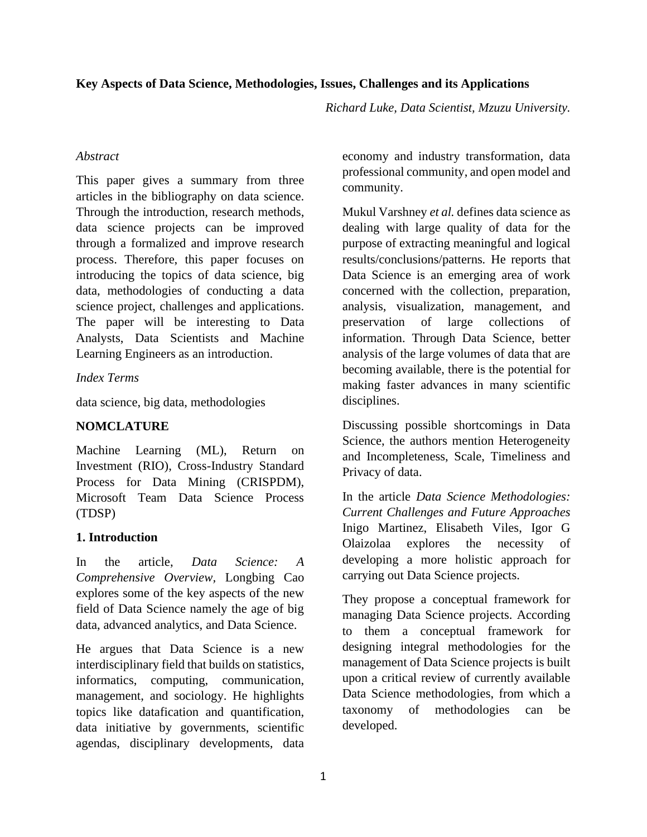#### **Key Aspects of Data Science, Methodologies, Issues, Challenges and its Applications**

*Richard Luke, Data Scientist, Mzuzu University.* 

#### *Abstract*

This paper gives a summary from three articles in the bibliography on data science. Through the introduction, research methods, data science projects can be improved through a formalized and improve research process. Therefore, this paper focuses on introducing the topics of data science, big data, methodologies of conducting a data science project, challenges and applications. The paper will be interesting to Data Analysts, Data Scientists and Machine Learning Engineers as an introduction.

### *Index Terms*

data science, big data, methodologies

## **NOMCLATURE**

Machine Learning (ML), Return on Investment (RIO), Cross-Industry Standard Process for Data Mining (CRISPDM), Microsoft Team Data Science Process (TDSP)

## **1. Introduction**

In the article, *Data Science: A Comprehensive Overview,* Longbing Cao explores some of the key aspects of the new field of Data Science namely the age of big data, advanced analytics, and Data Science.

He argues that Data Science is a new interdisciplinary field that builds on statistics, informatics, computing, communication, management, and sociology. He highlights topics like datafication and quantification, data initiative by governments, scientific agendas, disciplinary developments, data economy and industry transformation, data professional community, and open model and community.

Mukul Varshney *et al.* defines data science as dealing with large quality of data for the purpose of extracting meaningful and logical results/conclusions/patterns*.* He reports that Data Science is an emerging area of work concerned with the collection, preparation, analysis, visualization, management, and preservation of large collections of information. Through Data Science, better analysis of the large volumes of data that are becoming available, there is the potential for making faster advances in many scientific disciplines.

Discussing possible shortcomings in Data Science, the authors mention Heterogeneity and Incompleteness, Scale, Timeliness and Privacy of data.

In the article *Data Science Methodologies: Current Challenges and Future Approaches* Inigo Martinez, Elisabeth Viles, Igor G Olaizolaa explores the necessity of developing a more holistic approach for carrying out Data Science projects.

They propose a conceptual framework for managing Data Science projects. According to them a conceptual framework for designing integral methodologies for the management of Data Science projects is built upon a critical review of currently available Data Science methodologies, from which a taxonomy of methodologies can be developed.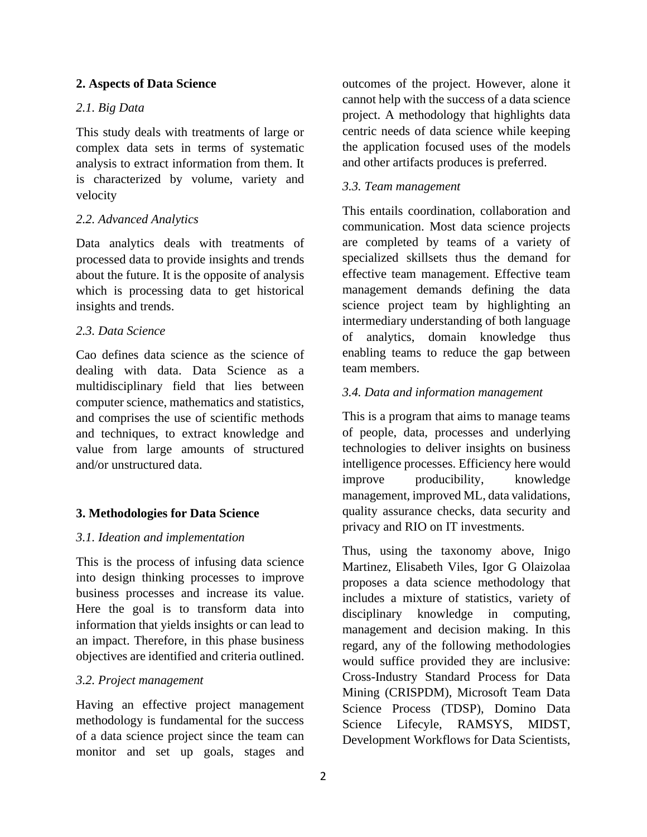#### **2. Aspects of Data Science**

## *2.1. Big Data*

This study deals with treatments of large or complex data sets in terms of systematic analysis to extract information from them. It is characterized by volume, variety and velocity

## *2.2. Advanced Analytics*

Data analytics deals with treatments of processed data to provide insights and trends about the future. It is the opposite of analysis which is processing data to get historical insights and trends.

### *2.3. Data Science*

Cao defines data science as the science of dealing with data. Data Science as a multidisciplinary field that lies between computer science, mathematics and statistics, and comprises the use of scientific methods and techniques, to extract knowledge and value from large amounts of structured and/or unstructured data.

## **3. Methodologies for Data Science**

## *3.1. Ideation and implementation*

This is the process of infusing data science into design thinking processes to improve business processes and increase its value. Here the goal is to transform data into information that yields insights or can lead to an impact. Therefore, in this phase business objectives are identified and criteria outlined.

#### *3.2. Project management*

Having an effective project management methodology is fundamental for the success of a data science project since the team can monitor and set up goals, stages and

outcomes of the project. However, alone it cannot help with the success of a data science project. A methodology that highlights data centric needs of data science while keeping the application focused uses of the models and other artifacts produces is preferred.

### *3.3. Team management*

This entails coordination, collaboration and communication. Most data science projects are completed by teams of a variety of specialized skillsets thus the demand for effective team management. Effective team management demands defining the data science project team by highlighting an intermediary understanding of both language of analytics, domain knowledge thus enabling teams to reduce the gap between team members.

### *3.4. Data and information management*

This is a program that aims to manage teams of people, data, processes and underlying technologies to deliver insights on business intelligence processes. Efficiency here would improve producibility, knowledge management, improved ML, data validations, quality assurance checks, data security and privacy and RIO on IT investments.

Thus, using the taxonomy above, Inigo Martinez, Elisabeth Viles, Igor G Olaizolaa proposes a data science methodology that includes a mixture of statistics, variety of disciplinary knowledge in computing, management and decision making. In this regard, any of the following methodologies would suffice provided they are inclusive: Cross-Industry Standard Process for Data Mining (CRISPDM), Microsoft Team Data Science Process (TDSP), Domino Data Science Lifecyle, RAMSYS, MIDST, Development Workflows for Data Scientists,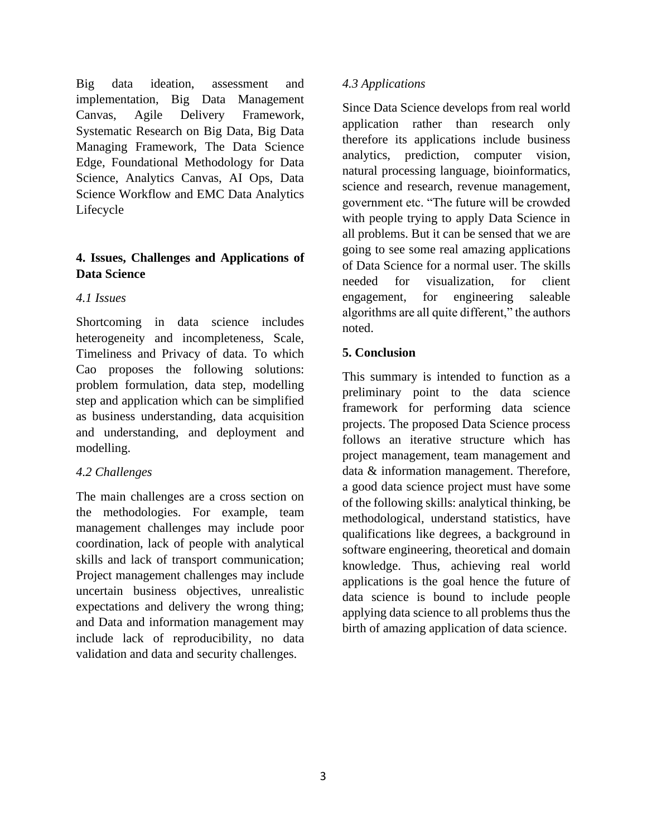Big data ideation, assessment and implementation, Big Data Management Canvas, Agile Delivery Framework, Systematic Research on Big Data, Big Data Managing Framework, The Data Science Edge, Foundational Methodology for Data Science, Analytics Canvas, AI Ops, Data Science Workflow and EMC Data Analytics Lifecycle

# **4. Issues, Challenges and Applications of Data Science**

# *4.1 Issues*

Shortcoming in data science includes heterogeneity and incompleteness, Scale, Timeliness and Privacy of data. To which Cao proposes the following solutions: problem formulation, data step, modelling step and application which can be simplified as business understanding, data acquisition and understanding, and deployment and modelling.

# *4.2 Challenges*

The main challenges are a cross section on the methodologies. For example, team management challenges may include poor coordination, lack of people with analytical skills and lack of transport communication; Project management challenges may include uncertain business objectives, unrealistic expectations and delivery the wrong thing; and Data and information management may include lack of reproducibility, no data validation and data and security challenges.

## *4.3 Applications*

Since Data Science develops from real world application rather than research only therefore its applications include business analytics, prediction, computer vision, natural processing language, bioinformatics, science and research, revenue management, government etc. "The future will be crowded with people trying to apply Data Science in all problems. But it can be sensed that we are going to see some real amazing applications of Data Science for a normal user. The skills needed for visualization, for client engagement, for engineering saleable algorithms are all quite different," the authors noted.

# **5. Conclusion**

This summary is intended to function as a preliminary point to the data science framework for performing data science projects. The proposed Data Science process follows an iterative structure which has project management, team management and data & information management. Therefore, a good data science project must have some of the following skills: analytical thinking, be methodological, understand statistics, have qualifications like degrees, a background in software engineering, theoretical and domain knowledge. Thus, achieving real world applications is the goal hence the future of data science is bound to include people applying data science to all problems thus the birth of amazing application of data science.